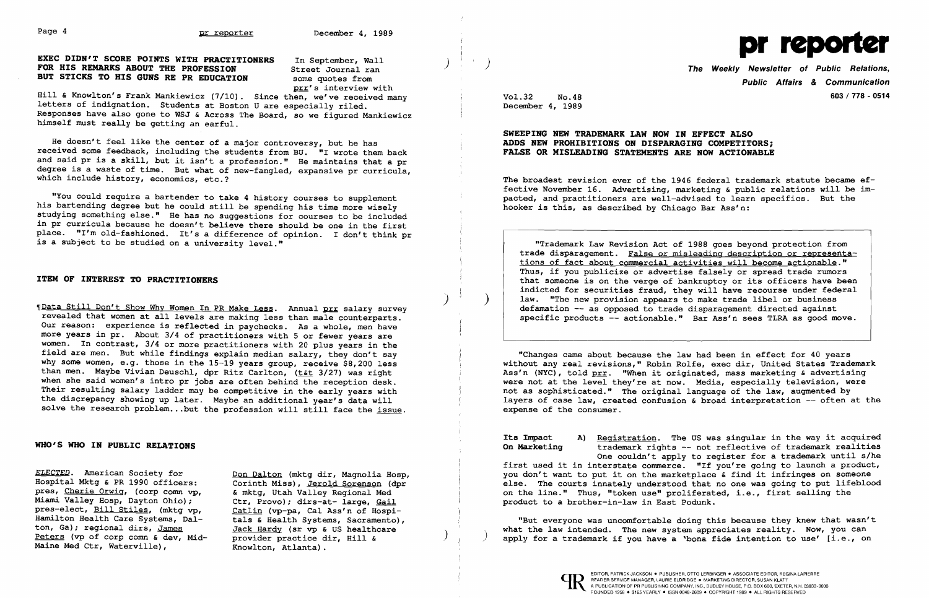EXEC DIDN'T SCORE POINTS WITH PRACTITIONERS In September, Wall  $\begin{pmatrix} 1 & 1 & 1 \end{pmatrix}$   $\begin{pmatrix} 1 & 1 \end{pmatrix}$   $\begin{pmatrix} 1 & 1 \end{pmatrix}$  The Weekly Newsletter of Public Relations,<br>
FOR HIS REMARKS ABOUT THE PROFESSION Street Journal BUT STICKS TO HIS GUNS RE PR EDUCATION



prr's interview with

He doesn't feel *like* the center of a major controversy, but he has received some feedback, including the students from BU. "I wrote them back and said pr *is* a *skill,* but it isn't a profession." He maintains that a pr degree *is* a waste of time. But what of new-fangled, expansive pr curricula, which include history, economics, etc.?

*Hill* & Knowlton's Frank Mankiewicz (7/10). Since then, we've received many letters of indignation. Students at Boston U are especially riled. Responses have also gone to WSJ & Across The Board, so we figured Mankiewicz himself must really be getting an earful.

"You could require a bartender to take 4 history courses to supplement his bartending degree but he could still be spending his time more wisely studying something else." He has no suggestions for courses to be included in pr curricula because he doesn't believe there should be one in the first place. "I'm old-fashioned. It's a difference of opinion. I don't think pr *is* a subject to be studied on a university level."

1Data Still Don't Show Why Women In PR Make Less. Annual prr salary survey revealed that women at all levels are making less than male counterparts. Our reason: experience *is* reflected in paychecks. As a whole, men have more years in pr. About  $3/4$  of practitioners with 5 or fewer years are women. In contrast, 3/4 or more practitioners with 20 plus years in the field are men. But while findings explain median salary, they don't say why some women, e.g. those in the 15-19 years group, receive \$8,200 less than men. Maybe Vivian Deuschl, dpr Ritz Carlton, (t&t 3/27) was right when she said women's intro pr jobs are often behind the reception desk. Their resulting salary ladder may be competitive in the early years with the discrepancy showing up later. Maybe an additional year's data will solve the research problem...but the profession will still face the *issue.* 

### ITEM OF INTEREST TO PRACTITIONERS

## WHO'S WHO IN PUBLIC RELATIONS

*ELECTED.* American Society for Hospital Mktg & PR 1990 officers: pres, Cherie Orwig, (corp comn vp, *Miami* Valley Hosp, Dayton Ohio); pres-elect, Bill Stiles, (mktg vp, Hamilton Health Care Systems, Dalton, Ga); regional dirs, James Peters (vp of corp comn & dev, Mid-Maine Med Ctr, Waterville),

Its Impact (a) Registration. The US was singular in the way it acquired<br>On Marketing (brademark rights -- not reflective of trademark realities) trademark rights -- not reflective of trademark realities One couldn't apply to register for a trademark until s/he first used it in interstate commerce. "If you're going to launch a product, you don't want to put it on the marketplace & find it infringes on someone else. The courts innately understood that no one was going to put lifeblood on the line." Thus, "token use" proliferated, i.e., first selling the product to a brother-in-law in East Podunk.

"But everyone was uncomfortable doing this because they knew that wasn't what the law intended. The new system appreciates reality. Now, you can apply for a trademark if you have a 'bona fide intention to use' [i.e., on

Don Dalton (mktg dir, Magnolia Hosp, Corinth *Miss),* Jerold Sorenson (dpr & mktg, Utah Valley Regional Med Ctr, Provo); dirs-at- large, Gail Catlin (vp-pa, Cal Ass'n of Hospitals & Health Systems, Sacramento), Jack Hardy (sr vp & US healthcare provider practice dir, *Hill &*  Knowlton, Atlanta).

)

Public Affairs & Communication Vol.32 No.48 603/ 778 - 0514

December 4, 1989

### SWEEPING NEW TRADEMARK LAW NOW IN EFFECT ALSO ADDS NEW PROHIBITIONS ON DISPARAGING COMPETITORS; FALSE OR MISLEADING STATEMENTS ARE NOW ACTIONABLE

The broadest revision ever of the 1946 federal trademark statute became effective November 16. Advertising, marketing & public relations will be impacted, and practitioners are well-advised to learn specifics. But the hooker *is* this, as described by Chicago Bar Ass'n:

**"Trademark Law Revision Act of 1988 goes beyond protection from**<br>trade disparagement. False or misleading description or representa-"Trademark Law Revision Act of 1988 goes beyond protection from<br>trade disparagement. False or misleading description or representa-<br>tions of fact about commercial activities will become actionable."<br>Thus, if you publicize tions of fact about commercial activities will become actionable." Thus, if you publicize or advertise falsely or spread trade rumors that someone *is* on the verge of bankruptcy or its officers have been indicted for securities fraud, they will have recourse under federal law. "The new provision appears to make trade libel or business defamation -- as opposed to trade disparagement directed against specific products -- actionable." Bar Ass'n sees TLRA as good move.

)

 $\mathcal{Y}$ 

"Changes came about because the law had been in effect for 40 years without any real revisions," Robin Rolfe, exec dir, United States Trademark Ass'n (NYC), told prr. "When it originated, mass marketing & advertising were not at the level they're at now. Media, especially television, were not as sophisticated." The original language of the law, augmented by layers of case law, created confusion & broad interpretation -- often at the expense of the consumer.